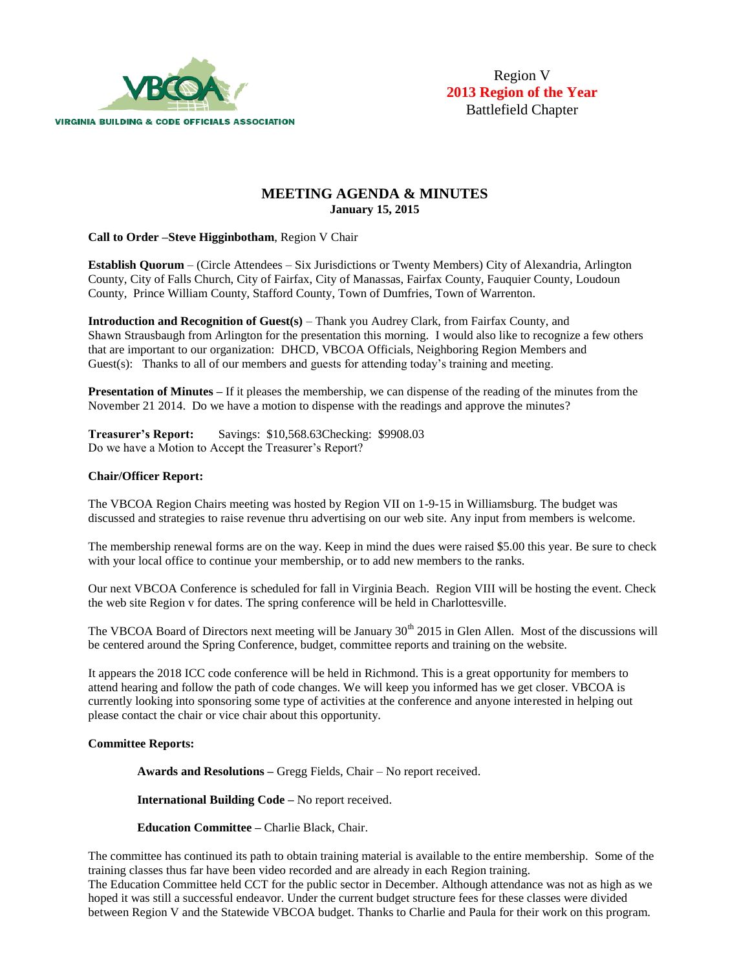

# **MEETING AGENDA & MINUTES January 15, 2015**

**Call to Order –Steve Higginbotham**, Region V Chair

**Establish Quorum** – (Circle Attendees – Six Jurisdictions or Twenty Members) City of Alexandria, Arlington County, City of Falls Church, City of Fairfax, City of Manassas, Fairfax County, Fauquier County, Loudoun County, Prince William County, Stafford County, Town of Dumfries, Town of Warrenton.

**Introduction and Recognition of Guest(s)** – Thank you Audrey Clark, from Fairfax County, and Shawn Strausbaugh from Arlington for the presentation this morning. I would also like to recognize a few others that are important to our organization: DHCD, VBCOA Officials, Neighboring Region Members and Guest(s): Thanks to all of our members and guests for attending today's training and meeting.

**Presentation of Minutes** – If it pleases the membership, we can dispense of the reading of the minutes from the November 21 2014. Do we have a motion to dispense with the readings and approve the minutes?

**Treasurer's Report:** Savings: \$10,568.63Checking: \$9908.03 Do we have a Motion to Accept the Treasurer's Report?

## **Chair/Officer Report:**

The VBCOA Region Chairs meeting was hosted by Region VII on 1-9-15 in Williamsburg. The budget was discussed and strategies to raise revenue thru advertising on our web site. Any input from members is welcome.

The membership renewal forms are on the way. Keep in mind the dues were raised \$5.00 this year. Be sure to check with your local office to continue your membership, or to add new members to the ranks.

Our next VBCOA Conference is scheduled for fall in Virginia Beach. Region VIII will be hosting the event. Check the web site Region v for dates. The spring conference will be held in Charlottesville.

The VBCOA Board of Directors next meeting will be January 30<sup>th</sup> 2015 in Glen Allen. Most of the discussions will be centered around the Spring Conference, budget, committee reports and training on the website.

It appears the 2018 ICC code conference will be held in Richmond. This is a great opportunity for members to attend hearing and follow the path of code changes. We will keep you informed has we get closer. VBCOA is currently looking into sponsoring some type of activities at the conference and anyone interested in helping out please contact the chair or vice chair about this opportunity.

### **Committee Reports:**

 **Awards and Resolutions –** Gregg Fields, Chair – No report received.

**International Building Code –** No report received.

 **Education Committee –** Charlie Black, Chair.

The committee has continued its path to obtain training material is available to the entire membership. Some of the training classes thus far have been video recorded and are already in each Region training.

The Education Committee held CCT for the public sector in December. Although attendance was not as high as we hoped it was still a successful endeavor. Under the current budget structure fees for these classes were divided between Region V and the Statewide VBCOA budget. Thanks to Charlie and Paula for their work on this program.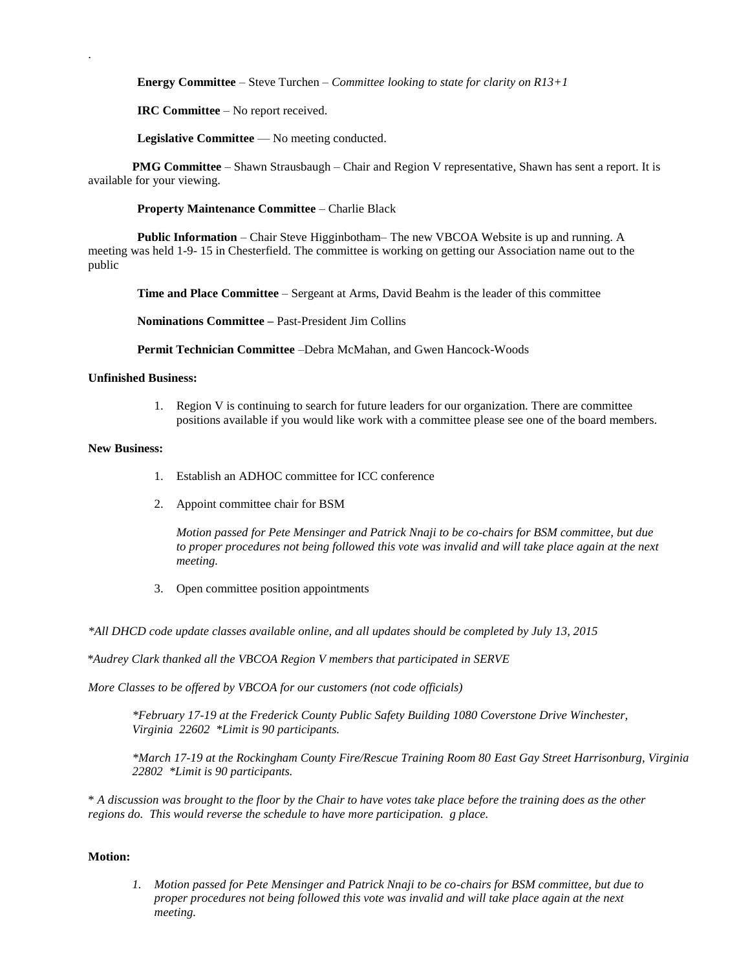**Energy Committee** – Steve Turchen – *Committee looking to state for clarity on R13+1*

 **IRC Committee** – No report received.

**Legislative Committee** — No meeting conducted.

**PMG Committee** – Shawn Strausbaugh – Chair and Region V representative, Shawn has sent a report. It is available for your viewing.

 **Property Maintenance Committee** – Charlie Black

 **Public Information** – Chair Steve Higginbotham– The new VBCOA Website is up and running. A meeting was held 1-9- 15 in Chesterfield. The committee is working on getting our Association name out to the public

**Time and Place Committee** – Sergeant at Arms, David Beahm is the leader of this committee

**Nominations Committee –** Past-President Jim Collins

**Permit Technician Committee** –Debra McMahan, and Gwen Hancock-Woods

### **Unfinished Business:**

1. Region V is continuing to search for future leaders for our organization. There are committee positions available if you would like work with a committee please see one of the board members.

#### **New Business:**

.

- 1. Establish an ADHOC committee for ICC conference
- 2. Appoint committee chair for BSM

*Motion passed for Pete Mensinger and Patrick Nnaji to be co-chairs for BSM committee, but due to proper procedures not being followed this vote was invalid and will take place again at the next meeting.*

3. Open committee position appointments

*\*All DHCD code update classes available online, and all updates should be completed by July 13, 2015*

 *\*Audrey Clark thanked all the VBCOA Region V members that participated in SERVE*

*More Classes to be offered by VBCOA for our customers (not code officials)*

*\*February 17-19 at the Frederick County Public Safety Building 1080 Coverstone Drive Winchester, Virginia 22602 \*Limit is 90 participants.*

*\*March 17-19 at the Rockingham County Fire/Rescue Training Room 80 East Gay Street Harrisonburg, Virginia 22802 \*Limit is 90 participants.*

\* *A discussion was brought to the floor by the Chair to have votes take place before the training does as the other regions do. This would reverse the schedule to have more participation. g place.*

## **Motion:**

*1. Motion passed for Pete Mensinger and Patrick Nnaji to be co-chairs for BSM committee, but due to proper procedures not being followed this vote was invalid and will take place again at the next meeting.*